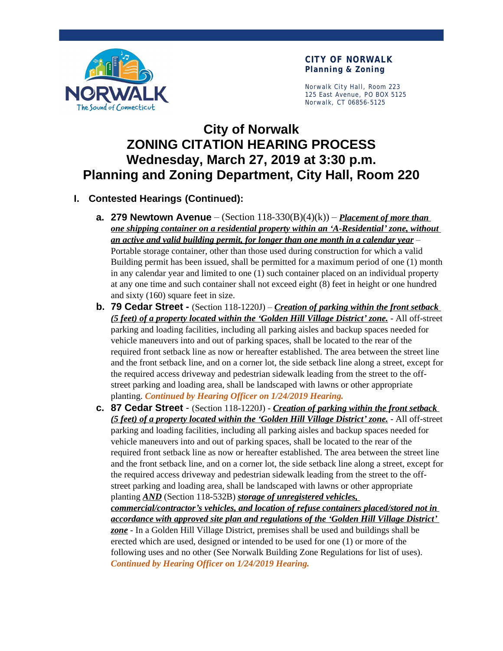

Norwalk City Hall, Room 223 125 East Avenue, PO BOX 5125 Norwalk, CT 06856-5125

# **City of Norwalk ZONING CITATION HEARING PROCESS Wednesday, March 27, 2019 at 3:30 p.m. Planning and Zoning Department, City Hall, Room 220**

#### **I. Contested Hearings (Continued):**

- **a. 279 Newtown Avenue** (Section  $118-330(B)(4)(k)$ ) *Placement of more than one shipping container on a residential property within an 'A-Residential' zone, without an active and valid building permit, for longer than one month in a calendar year* – Portable storage container, other than those used during construction for which a valid Building permit has been issued, shall be permitted for a maximum period of one (1) month in any calendar year and limited to one (1) such container placed on an individual property at any one time and such container shall not exceed eight (8) feet in height or one hundred and sixty (160) square feet in size.
- **b. 79 Cedar Street -** (Section 118-1220J) *Creation of parking within the front setback (5 feet) of a property located within the 'Golden Hill Village District' zone.* - All off-street parking and loading facilities, including all parking aisles and backup spaces needed for vehicle maneuvers into and out of parking spaces, shall be located to the rear of the required front setback line as now or hereafter established. The area between the street line and the front setback line, and on a corner lot, the side setback line along a street, except for the required access driveway and pedestrian sidewalk leading from the street to the offstreet parking and loading area, shall be landscaped with lawns or other appropriate planting. *Continued by Hearing Officer on 1/24/2019 Hearing.*
- **c. 87 Cedar Street**  (Section 118-1220J) *Creation of parking within the front setback (5 feet) of a property located within the 'Golden Hill Village District' zone.* - All off-street parking and loading facilities, including all parking aisles and backup spaces needed for vehicle maneuvers into and out of parking spaces, shall be located to the rear of the required front setback line as now or hereafter established. The area between the street line and the front setback line, and on a corner lot, the side setback line along a street, except for the required access driveway and pedestrian sidewalk leading from the street to the offstreet parking and loading area, shall be landscaped with lawns or other appropriate planting *AND* (Section 118-532B) *storage of unregistered vehicles, commercial/contractor's vehicles, and location of refuse containers placed/stored not in accordance with approved site plan and regulations of the 'Golden Hill Village District' zone* - In a Golden Hill Village District, premises shall be used and buildings shall be erected which are used, designed or intended to be used for one (1) or more of the following uses and no other (See Norwalk Building Zone Regulations for list of uses). *Continued by Hearing Officer on 1/24/2019 Hearing.*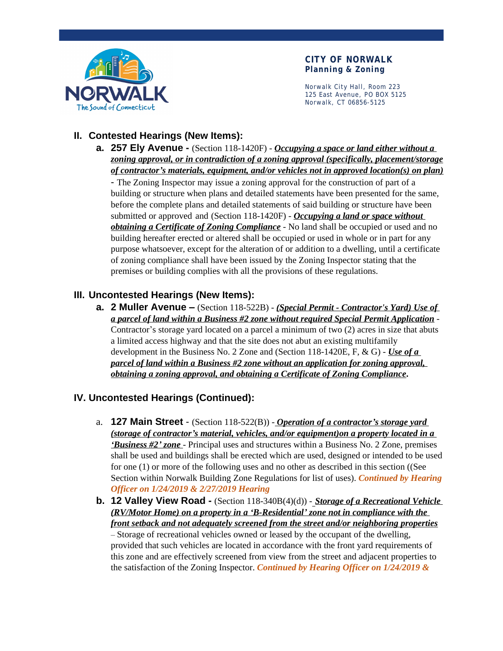

Norwalk City Hall, Room 223 125 East Avenue, PO BOX 5125 Norwalk, CT 06856-5125

## **II. Contested Hearings (New Items):**

**a. 257 Ely Avenue -** (Section 118-1420F) - *Occupying a space or land either without a zoning approval, or in contradiction of a zoning approval (specifically, placement/storage of contractor's materials, equipment, and/or vehicles not in approved location(s) on plan)* - The Zoning Inspector may issue a zoning approval for the construction of part of a building or structure when plans and detailed statements have been presented for the same, before the complete plans and detailed statements of said building or structure have been submitted or approved and (Section 118-1420F) - *Occupying a land or space without obtaining a Certificate of Zoning Compliance* - No land shall be occupied or used and no building hereafter erected or altered shall be occupied or used in whole or in part for any purpose whatsoever, except for the alteration of or addition to a dwelling, until a certificate of zoning compliance shall have been issued by the Zoning Inspector stating that the premises or building complies with all the provisions of these regulations.

## **III. Uncontested Hearings (New Items):**

**a. 2 Muller Avenue –** (Section 118-522B) - *(Special Permit - Contractor's Yard) Use of a parcel of land within a Business #2 zone without required Special Permit Application* - Contractor's storage yard located on a parcel a minimum of two (2) acres in size that abuts a limited access highway and that the site does not abut an existing multifamily development in the Business No. 2 Zone and (Section 118-1420E, F, & G) - *Use of a parcel of land within a Business #2 zone without an application for zoning approval, obtaining a zoning approval, and obtaining a Certificate of Zoning Compliance***.**

## **IV. Uncontested Hearings (Continued):**

- a. **127 Main Street** (Section 118-522(B)) *Operation of a contractor's storage yard (storage of contractor's material, vehicles, and/or equipment)on a property located in a 'Business #2' zone* - Principal uses and structures within a Business No. 2 Zone, premises shall be used and buildings shall be erected which are used, designed or intended to be used for one (1) or more of the following uses and no other as described in this section ((See Section within Norwalk Building Zone Regulations for list of uses). *Continued by Hearing Officer on 1/24/2019 & 2/27/2019 Hearing*
- **b. 12 Valley View Road -** (Section 118-340B(4)(d)) *Storage of a Recreational Vehicle (RV/Motor Home) on a property in a 'B-Residential' zone not in compliance with the front setback and not adequately screened from the street and/or neighboring properties –* Storage of recreational vehicles owned or leased by the occupant of the dwelling, provided that such vehicles are located in accordance with the front yard requirements of this zone and are effectively screened from view from the street and adjacent properties to the satisfaction of the Zoning Inspector. *Continued by Hearing Officer on 1/24/2019 &*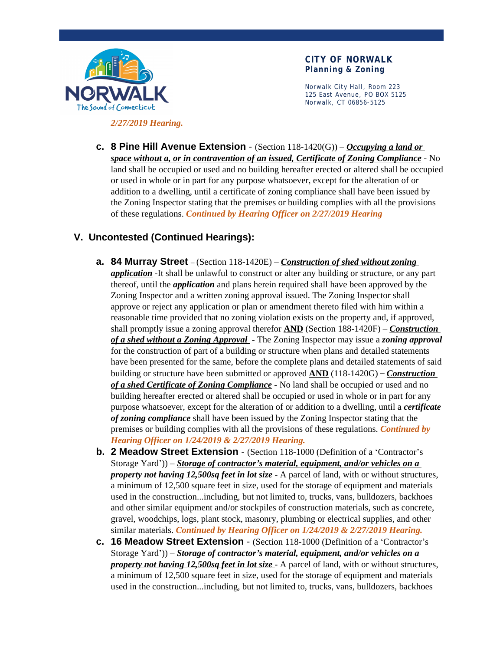

Norwalk City Hall, Room 223 125 East Avenue, PO BOX 5125 Norwalk, CT 06856-5125

**c. 8 Pine Hill Avenue Extension** - (Section 118-1420(G)) – *Occupying a land or space without a, or in contravention of an issued, Certificate of Zoning Compliance* - No land shall be occupied or used and no building hereafter erected or altered shall be occupied or used in whole or in part for any purpose whatsoever, except for the alteration of or addition to a dwelling, until a certificate of zoning compliance shall have been issued by the Zoning Inspector stating that the premises or building complies with all the provisions of these regulations. *Continued by Hearing Officer on 2/27/2019 Hearing*

## **V. Uncontested (Continued Hearings):**

- **a. 84 Murray Street**  (Section 118-1420E) *Construction of shed without zoning application* -It shall be unlawful to construct or alter any building or structure, or any part thereof, until the *application* and plans herein required shall have been approved by the Zoning Inspector and a written zoning approval issued. The Zoning Inspector shall approve or reject any application or plan or amendment thereto filed with him within a reasonable time provided that no zoning violation exists on the property and, if approved, shall promptly issue a zoning approval therefor **AND** (Section 188-1420F) – *Construction of a shed without a Zoning Approval* - The Zoning Inspector may issue a *zoning approval* for the construction of part of a building or structure when plans and detailed statements have been presented for the same, before the complete plans and detailed statements of said building or structure have been submitted or approved **AND** (118-1420G) – *Construction of a shed Certificate of Zoning Compliance* - No land shall be occupied or used and no building hereafter erected or altered shall be occupied or used in whole or in part for any purpose whatsoever, except for the alteration of or addition to a dwelling, until a *certificate of zoning compliance* shall have been issued by the Zoning Inspector stating that the premises or building complies with all the provisions of these regulations. *Continued by Hearing Officer on 1/24/2019 & 2/27/2019 Hearing.*
- **b. 2 Meadow Street Extension** (Section 118-1000 (Definition of a 'Contractor's Storage Yard')) – *Storage of contractor's material, equipment, and/or vehicles on a property not having 12,500sq feet in lot size* - A parcel of land, with or without structures, a minimum of 12,500 square feet in size, used for the storage of equipment and materials used in the construction...including, but not limited to, trucks, vans, bulldozers, backhoes and other similar equipment and/or stockpiles of construction materials, such as concrete, gravel, woodchips, logs, plant stock, masonry, plumbing or electrical supplies, and other similar materials. *Continued by Hearing Officer on 1/24/2019 & 2/27/2019 Hearing.*
- **c. 16 Meadow Street Extension** (Section 118-1000 (Definition of a 'Contractor's Storage Yard')) – *Storage of contractor's material, equipment, and/or vehicles on a property not having 12,500sq feet in lot size* - A parcel of land, with or without structures, a minimum of 12,500 square feet in size, used for the storage of equipment and materials used in the construction...including, but not limited to, trucks, vans, bulldozers, backhoes